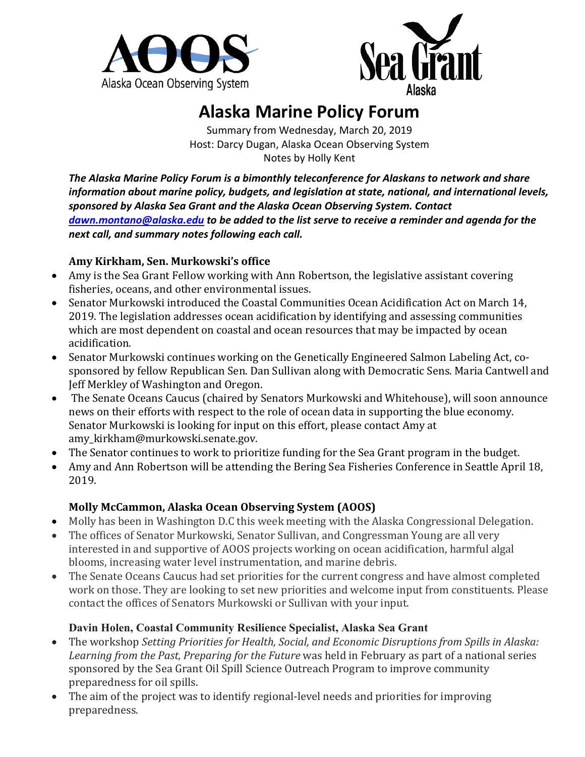



# **Alaska Marine Policy Forum**

Summary from Wednesday, March 20, 2019 Host: Darcy Dugan, Alaska Ocean Observing System Notes by Holly Kent

*The Alaska Marine Policy Forum is a bimonthly teleconference for Alaskans to network and share information about marine policy, budgets, and legislation at state, national, and international levels, sponsored by Alaska Sea Grant and the Alaska Ocean Observing System. Contact [dawn.montano@alaska.edu](mailto:dawn.montano@alaska.edu) to be added to the list serve to receive a reminder and agenda for the next call, and summary notes following each call.* 

#### **Amy Kirkham, Sen. Murkowski's office**

- Amy is the Sea Grant Fellow working with Ann Robertson, the legislative assistant covering fisheries, oceans, and other environmental issues.
- Senator Murkowski introduced the Coastal Communities Ocean Acidification Act on March 14, 2019. The legislation addresses ocean acidification by identifying and assessing communities which are most dependent on coastal and ocean resources that may be impacted by ocean acidification.
- Senator Murkowski continues working on the Genetically Engineered Salmon Labeling Act, cosponsored by fellow Republican Sen. Dan Sullivan along with Democratic Sens. Maria Cantwell and Jeff Merkley of Washington and Oregon.
- The Senate Oceans Caucus (chaired by Senators Murkowski and Whitehouse), will soon announce news on their efforts with respect to the role of ocean data in supporting the blue economy. Senator Murkowski is looking for input on this effort, please contact Amy at amy\_kirkham@murkowski.senate.gov.
- The Senator continues to work to prioritize funding for the Sea Grant program in the budget.
- Amy and Ann Robertson will be attending the Bering Sea Fisheries Conference in Seattle April 18, 2019.

## **Molly McCammon, Alaska Ocean Observing System (AOOS)**

- Molly has been in Washington D.C this week meeting with the Alaska Congressional Delegation.
- The offices of Senator Murkowski, Senator Sullivan, and Congressman Young are all very interested in and supportive of AOOS projects working on ocean acidification, harmful algal blooms, increasing water level instrumentation, and marine debris.
- The Senate Oceans Caucus had set priorities for the current congress and have almost completed work on those. They are looking to set new priorities and welcome input from constituents. Please contact the offices of Senators Murkowski or Sullivan with your input.

## **Davin Holen, Coastal Community Resilience Specialist, Alaska Sea Grant**

- The workshop *Setting Priorities for Health, Social, and Economic Disruptions from Spills in Alaska: Learning from the Past, Preparing for the Future* was held in February as part of a national series sponsored by the Sea Grant Oil Spill Science Outreach Program to improve community preparedness for oil spills.
- The aim of the project was to identify regional-level needs and priorities for improving preparedness.